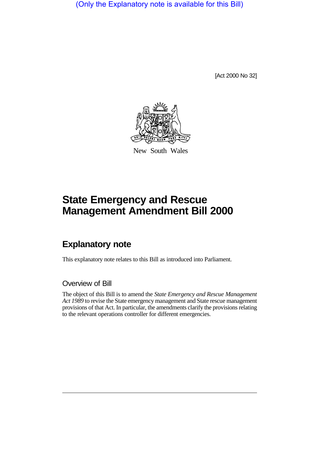(Only the Explanatory note is available for this Bill)

[Act 2000 No 32]



New South Wales

# **State Emergency and Rescue Management Amendment Bill 2000**

## **Explanatory note**

This explanatory note relates to this Bill as introduced into Parliament.

## Overview of Bill

The object of this Bill is to amend the *State Emergency and Rescue Management Act 1989* to revise the State emergency management and State rescue management provisions of that Act. In particular, the amendments clarify the provisions relating to the relevant operations controller for different emergencies.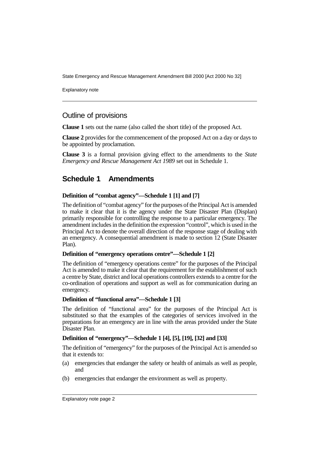Explanatory note

## Outline of provisions

**Clause 1** sets out the name (also called the short title) of the proposed Act.

**Clause 2** provides for the commencement of the proposed Act on a day or days to be appointed by proclamation.

**Clause 3** is a formal provision giving effect to the amendments to the *State Emergency and Rescue Management Act 1989* set out in Schedule 1.

## **Schedule 1 Amendments**

#### **Definition of "combat agency"—Schedule 1 [1] and [7]**

The definition of "combat agency" for the purposes of the Principal Act is amended to make it clear that it is the agency under the State Disaster Plan (Displan) primarily responsible for controlling the response to a particular emergency. The amendment includes in the definition the expression "control", which is used in the Principal Act to denote the overall direction of the response stage of dealing with an emergency. A consequential amendment is made to section 12 (State Disaster Plan).

#### **Definition of "emergency operations centre"—Schedule 1 [2]**

The definition of "emergency operations centre" for the purposes of the Principal Act is amended to make it clear that the requirement for the establishment of such a centre by State, district and local operations controllers extends to a centre for the co-ordination of operations and support as well as for communication during an emergency.

#### **Definition of "functional area"—Schedule 1 [3]**

The definition of "functional area" for the purposes of the Principal Act is substituted so that the examples of the categories of services involved in the preparations for an emergency are in line with the areas provided under the State Disaster Plan.

#### **Definition of "emergency"—Schedule 1 [4], [5], [19], [32] and [33]**

The definition of "emergency" for the purposes of the Principal Act is amended so that it extends to:

- (a) emergencies that endanger the safety or health of animals as well as people, and
- (b) emergencies that endanger the environment as well as property.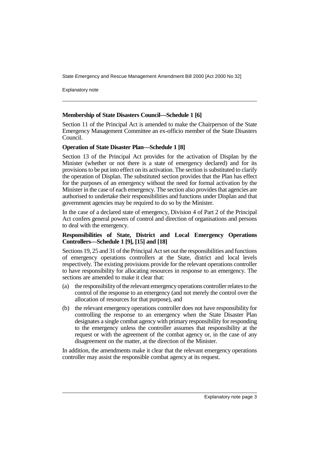Explanatory note

#### **Membership of State Disasters Council—Schedule 1 [6]**

Section 11 of the Principal Act is amended to make the Chairperson of the State Emergency Management Committee an ex-officio member of the State Disasters Council.

#### **Operation of State Disaster Plan—Schedule 1 [8]**

Section 13 of the Principal Act provides for the activation of Displan by the Minister (whether or not there is a state of emergency declared) and for its provisions to be put into effect on its activation. The section is substituted to clarify the operation of Displan. The substituted section provides that the Plan has effect for the purposes of an emergency without the need for formal activation by the Minister in the case of each emergency. The section also provides that agencies are authorised to undertake their responsibilities and functions under Displan and that government agencies may be required to do so by the Minister.

In the case of a declared state of emergency, Division 4 of Part 2 of the Principal Act confers general powers of control and direction of organisations and persons to deal with the emergency.

#### **Responsibilities of State, District and Local Emergency Operations Controllers—Schedule 1 [9], [15] and [18]**

Sections 19, 25 and 31 of the Principal Act set out the responsibilities and functions of emergency operations controllers at the State, district and local levels respectively. The existing provisions provide for the relevant operations controller to have responsibility for allocating resources in response to an emergency. The sections are amended to make it clear that:

- (a) the responsibility of the relevant emergency operations controller relates to the control of the response to an emergency (and not merely the control over the allocation of resources for that purpose), and
- (b) the relevant emergency operations controller does not have responsibility for controlling the response to an emergency when the State Disaster Plan designates a single combat agency with primary responsibility for responding to the emergency unless the controller assumes that responsibility at the request or with the agreement of the combat agency or, in the case of any disagreement on the matter, at the direction of the Minister.

In addition, the amendments make it clear that the relevant emergency operations controller may assist the responsible combat agency at its request.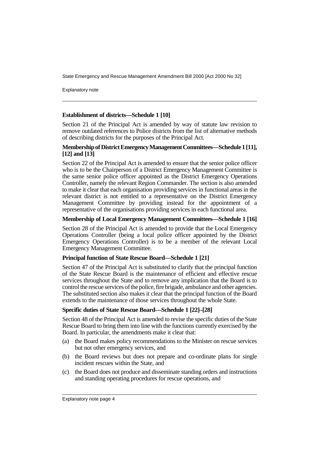Explanatory note

#### **Establishment of districts—Schedule 1 [10]**

Section 21 of the Principal Act is amended by way of statute law revision to remove outdated references to Police districts from the list of alternative methods of describing districts for the purposes of the Principal Act.

#### **Membership of District Emergency Management Committees—Schedule 1 [11], [12] and [13]**

Section 22 of the Principal Act is amended to ensure that the senior police officer who is to be the Chairperson of a District Emergency Management Committee is the same senior police officer appointed as the District Emergency Operations Controller, namely the relevant Region Commander. The section is also amended to make it clear that each organisation providing services in functional areas in the relevant district is not entitled to a representative on the District Emergency Management Committee by providing instead for the appointment of a representative of the organisations providing services in each functional area.

#### **Membership of Local Emergency Management Committees—Schedule 1 [16]**

Section 28 of the Principal Act is amended to provide that the Local Emergency Operations Controller (being a local police officer appointed by the District Emergency Operations Controller) is to be a member of the relevant Local Emergency Management Committee.

#### **Principal function of State Rescue Board—Schedule 1 [21]**

Section 47 of the Principal Act is substituted to clarify that the principal function of the State Rescue Board is the maintenance of efficient and effective rescue services throughout the State and to remove any implication that the Board is to control the rescue services of the police, fire brigade, ambulance and other agencies. The substituted section also makes it clear that the principal function of the Board extends to the maintenance of those services throughout the whole State.

#### **Specific duties of State Rescue Board—Schedule 1 [22]–[28]**

Section 48 of the Principal Act is amended to revise the specific duties of the State Rescue Board to bring them into line with the functions currently exercised by the Board. In particular, the amendments make it clear that:

- (a) the Board makes policy recommendations to the Minister on rescue services but not other emergency services, and
- (b) the Board reviews but does not prepare and co-ordinate plans for single incident rescues within the State, and
- (c) the Board does not produce and disseminate standing orders and instructions and standing operating procedures for rescue operations, and